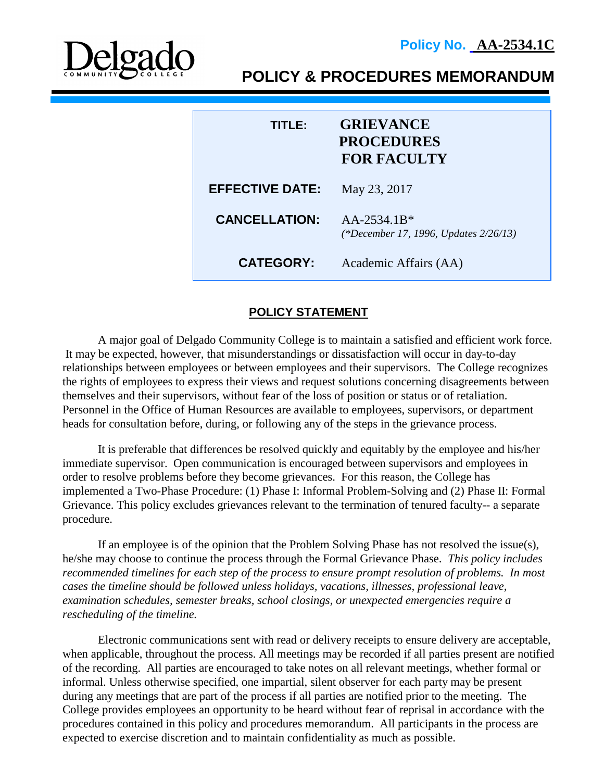

**POLICY & PROCEDURES MEMORANDUM**

| TITI E:                | <b>GRIEVANCE</b><br><b>PROCEDURES</b><br><b>FOR FACULTY</b> |
|------------------------|-------------------------------------------------------------|
| <b>EFFECTIVE DATE:</b> | May 23, 2017                                                |
| <b>CANCELLATION:</b>   | $AA-2534.1B*$<br>(*December 17, 1996, Updates 2/26/13)      |
| <b>CATEGORY:</b>       | Academic Affairs (AA)                                       |

## **POLICY STATEMENT**

A major goal of Delgado Community College is to maintain a satisfied and efficient work force. It may be expected, however, that misunderstandings or dissatisfaction will occur in day-to-day relationships between employees or between employees and their supervisors. The College recognizes the rights of employees to express their views and request solutions concerning disagreements between themselves and their supervisors, without fear of the loss of position or status or of retaliation. Personnel in the Office of Human Resources are available to employees, supervisors, or department heads for consultation before, during, or following any of the steps in the grievance process.

It is preferable that differences be resolved quickly and equitably by the employee and his/her immediate supervisor. Open communication is encouraged between supervisors and employees in order to resolve problems before they become grievances. For this reason, the College has implemented a Two-Phase Procedure: (1) Phase I: Informal Problem-Solving and (2) Phase II: Formal Grievance. This policy excludes grievances relevant to the termination of tenured faculty-- a separate procedure.

If an employee is of the opinion that the Problem Solving Phase has not resolved the issue(s), he/she may choose to continue the process through the Formal Grievance Phase. *This policy includes recommended timelines for each step of the process to ensure prompt resolution of problems. In most cases the timeline should be followed unless holidays, vacations, illnesses, professional leave, examination schedules, semester breaks, school closings, or unexpected emergencies require a rescheduling of the timeline.*

Electronic communications sent with read or delivery receipts to ensure delivery are acceptable, when applicable, throughout the process. All meetings may be recorded if all parties present are notified of the recording. All parties are encouraged to take notes on all relevant meetings, whether formal or informal. Unless otherwise specified, one impartial, silent observer for each party may be present during any meetings that are part of the process if all parties are notified prior to the meeting. The College provides employees an opportunity to be heard without fear of reprisal in accordance with the procedures contained in this policy and procedures memorandum. All participants in the process are expected to exercise discretion and to maintain confidentiality as much as possible.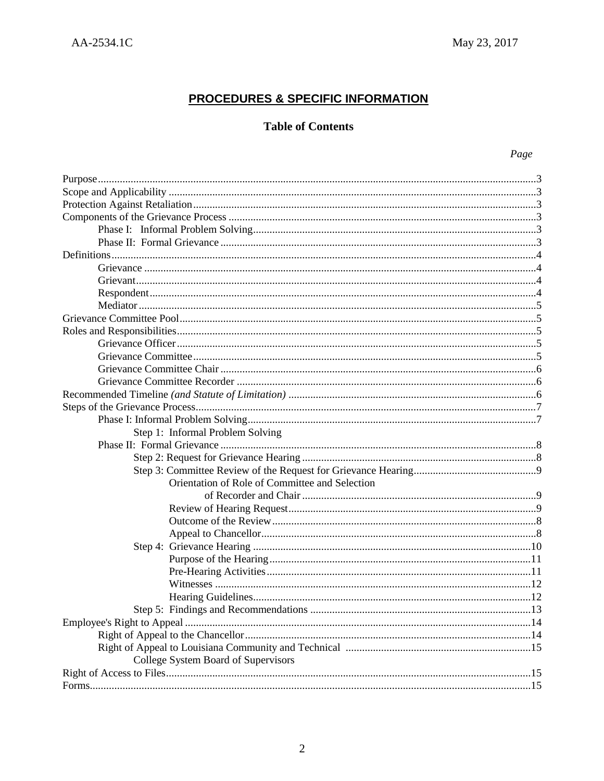# **PROCEDURES & SPECIFIC INFORMATION**

# **Table of Contents**

| I |
|---|
|---|

| Step 1: Informal Problem Solving               |  |
|------------------------------------------------|--|
|                                                |  |
|                                                |  |
|                                                |  |
| Orientation of Role of Committee and Selection |  |
|                                                |  |
|                                                |  |
|                                                |  |
|                                                |  |
|                                                |  |
|                                                |  |
|                                                |  |
|                                                |  |
|                                                |  |
|                                                |  |
|                                                |  |
|                                                |  |
|                                                |  |
| College System Board of Supervisors            |  |
|                                                |  |
|                                                |  |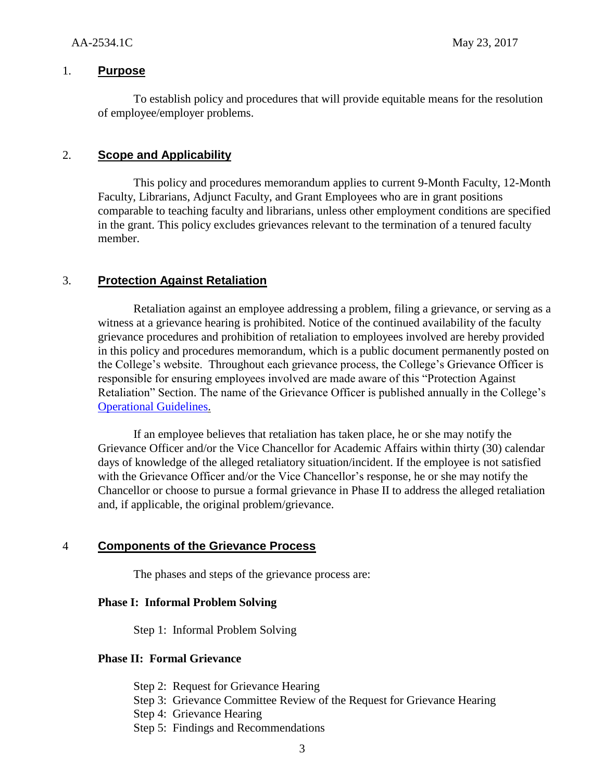## 1. **Purpose**

To establish policy and procedures that will provide equitable means for the resolution of employee/employer problems.

## 2. **Scope and Applicability**

This policy and procedures memorandum applies to current 9-Month Faculty, 12-Month Faculty, Librarians, Adjunct Faculty, and Grant Employees who are in grant positions comparable to teaching faculty and librarians, unless other employment conditions are specified in the grant. This policy excludes grievances relevant to the termination of a tenured faculty member.

## 3. **Protection Against Retaliation**

Retaliation against an employee addressing a problem, filing a grievance, or serving as a witness at a grievance hearing is prohibited. Notice of the continued availability of the faculty grievance procedures and prohibition of retaliation to employees involved are hereby provided in this policy and procedures memorandum, which is a public document permanently posted on the College's website. Throughout each grievance process, the College's Grievance Officer is responsible for ensuring employees involved are made aware of this "Protection Against Retaliation" Section. The name of the Grievance Officer is published annually in the College's [Operational Guidelines.](http://www.dcc.edu/departments/policy-office/operationalguidelines/)

If an employee believes that retaliation has taken place, he or she may notify the Grievance Officer and/or the Vice Chancellor for Academic Affairs within thirty (30) calendar days of knowledge of the alleged retaliatory situation/incident. If the employee is not satisfied with the Grievance Officer and/or the Vice Chancellor's response, he or she may notify the Chancellor or choose to pursue a formal grievance in Phase II to address the alleged retaliation and, if applicable, the original problem/grievance.

## 4 **Components of the Grievance Process**

The phases and steps of the grievance process are:

#### **Phase I: Informal Problem Solving**

Step 1: Informal Problem Solving

#### **Phase II: Formal Grievance**

Step 2: Request for Grievance Hearing Step 3: Grievance Committee Review of the Request for Grievance Hearing Step 4: Grievance Hearing Step 5: Findings and Recommendations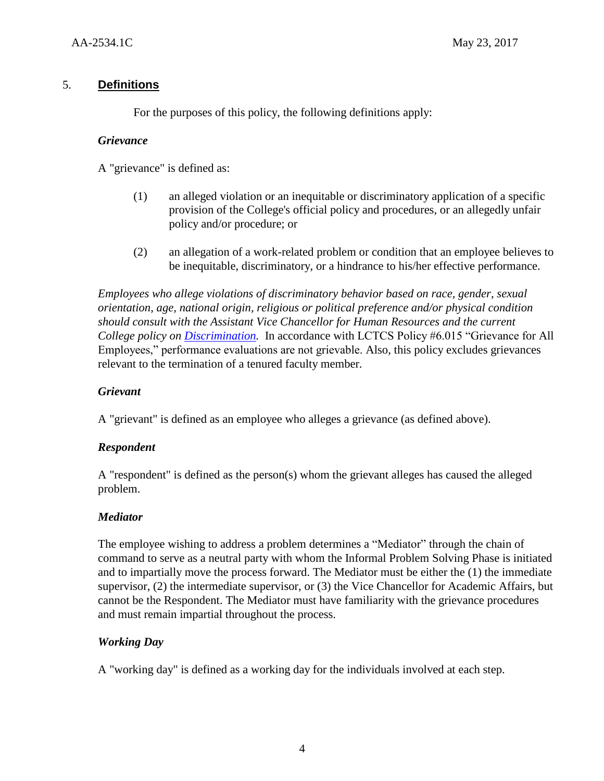## 5. **Definitions**

For the purposes of this policy, the following definitions apply:

## *Grievance*

A "grievance" is defined as:

- (1) an alleged violation or an inequitable or discriminatory application of a specific provision of the College's official policy and procedures, or an allegedly unfair policy and/or procedure; or
- (2) an allegation of a work-related problem or condition that an employee believes to be inequitable, discriminatory, or a hindrance to his/her effective performance.

*Employees who allege violations of discriminatory behavior based on race, gender, sexual orientation, age, national origin, religious or political preference and/or physical condition should consult with the Assistant Vice Chancellor for Human Resources and the current College policy on [Discrimination.](http://docushare3.dcc.edu/docushare/dsweb/Get/Document-67)* In accordance with LCTCS Policy #6.015 "Grievance for All Employees," performance evaluations are not grievable. Also, this policy excludes grievances relevant to the termination of a tenured faculty member*.*

## *Grievant*

A "grievant" is defined as an employee who alleges a grievance (as defined above).

## *Respondent*

A "respondent" is defined as the person(s) whom the grievant alleges has caused the alleged problem.

## *Mediator*

The employee wishing to address a problem determines a "Mediator" through the chain of command to serve as a neutral party with whom the Informal Problem Solving Phase is initiated and to impartially move the process forward. The Mediator must be either the (1) the immediate supervisor, (2) the intermediate supervisor, or (3) the Vice Chancellor for Academic Affairs, but cannot be the Respondent. The Mediator must have familiarity with the grievance procedures and must remain impartial throughout the process.

## *Working Day*

A "working day" is defined as a working day for the individuals involved at each step.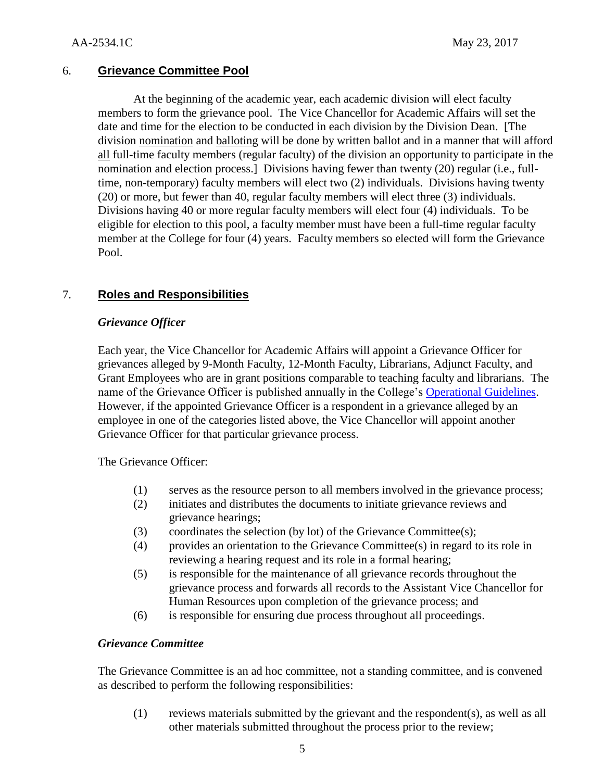## 6. **Grievance Committee Pool**

At the beginning of the academic year, each academic division will elect faculty members to form the grievance pool. The Vice Chancellor for Academic Affairs will set the date and time for the election to be conducted in each division by the Division Dean. [The division nomination and balloting will be done by written ballot and in a manner that will afford all full-time faculty members (regular faculty) of the division an opportunity to participate in the nomination and election process.] Divisions having fewer than twenty (20) regular (i.e., fulltime, non-temporary) faculty members will elect two (2) individuals. Divisions having twenty (20) or more, but fewer than 40, regular faculty members will elect three (3) individuals. Divisions having 40 or more regular faculty members will elect four (4) individuals. To be eligible for election to this pool, a faculty member must have been a full-time regular faculty member at the College for four (4) years. Faculty members so elected will form the Grievance Pool.

## 7. **Roles and Responsibilities**

## *Grievance Officer*

Each year, the Vice Chancellor for Academic Affairs will appoint a Grievance Officer for grievances alleged by 9-Month Faculty, 12-Month Faculty, Librarians, Adjunct Faculty, and Grant Employees who are in grant positions comparable to teaching faculty and librarians. The name of the Grievance Officer is published annually in the College's [Operational Guidelines.](http://www.dcc.edu/departments/policy-office/operationalguidelines/) However, if the appointed Grievance Officer is a respondent in a grievance alleged by an employee in one of the categories listed above, the Vice Chancellor will appoint another Grievance Officer for that particular grievance process.

The Grievance Officer:

- (1) serves as the resource person to all members involved in the grievance process;
- (2) initiates and distributes the documents to initiate grievance reviews and grievance hearings;
- (3) coordinates the selection (by lot) of the Grievance Committee(s);
- (4) provides an orientation to the Grievance Committee(s) in regard to its role in reviewing a hearing request and its role in a formal hearing;
- (5) is responsible for the maintenance of all grievance records throughout the grievance process and forwards all records to the Assistant Vice Chancellor for Human Resources upon completion of the grievance process; and
- (6) is responsible for ensuring due process throughout all proceedings.

## *Grievance Committee*

The Grievance Committee is an ad hoc committee, not a standing committee, and is convened as described to perform the following responsibilities:

(1) reviews materials submitted by the grievant and the respondent(s), as well as all other materials submitted throughout the process prior to the review;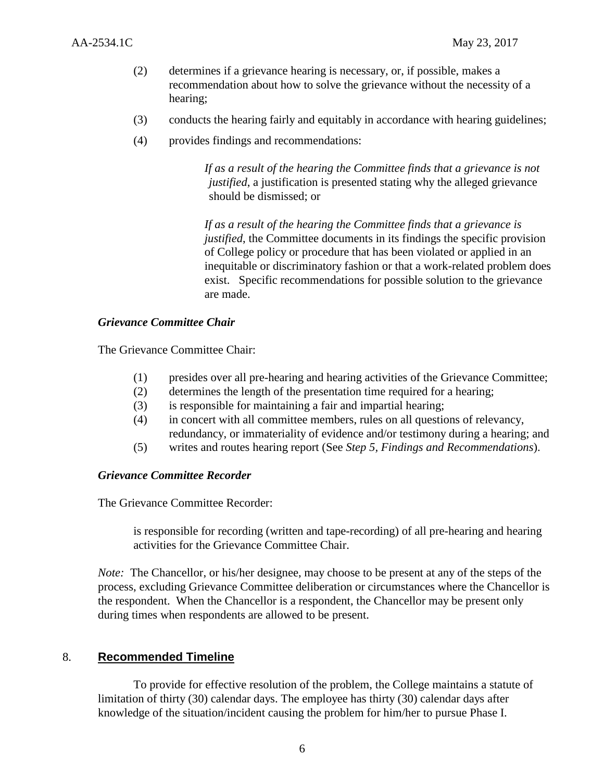- (2) determines if a grievance hearing is necessary, or, if possible, makes a recommendation about how to solve the grievance without the necessity of a hearing;
- (3) conducts the hearing fairly and equitably in accordance with hearing guidelines;
- (4) provides findings and recommendations:

*If as a result of the hearing the Committee finds that a grievance is not justified*, a justification is presented stating why the alleged grievance should be dismissed; or

*If as a result of the hearing the Committee finds that a grievance is justified*, the Committee documents in its findings the specific provision of College policy or procedure that has been violated or applied in an inequitable or discriminatory fashion or that a work-related problem does exist. Specific recommendations for possible solution to the grievance are made.

#### *Grievance Committee Chair*

The Grievance Committee Chair:

- (1) presides over all pre-hearing and hearing activities of the Grievance Committee;
- (2) determines the length of the presentation time required for a hearing;
- (3) is responsible for maintaining a fair and impartial hearing;
- (4) in concert with all committee members, rules on all questions of relevancy, redundancy, or immateriality of evidence and/or testimony during a hearing; and
- (5) writes and routes hearing report (See *Step 5, Findings and Recommendations*).

#### *Grievance Committee Recorder*

The Grievance Committee Recorder:

is responsible for recording (written and tape-recording) of all pre-hearing and hearing activities for the Grievance Committee Chair.

*Note:* The Chancellor, or his/her designee, may choose to be present at any of the steps of the process, excluding Grievance Committee deliberation or circumstances where the Chancellor is the respondent. When the Chancellor is a respondent, the Chancellor may be present only during times when respondents are allowed to be present.

## 8. **Recommended Timeline**

To provide for effective resolution of the problem, the College maintains a statute of limitation of thirty (30) calendar days. The employee has thirty (30) calendar days after knowledge of the situation/incident causing the problem for him/her to pursue Phase I.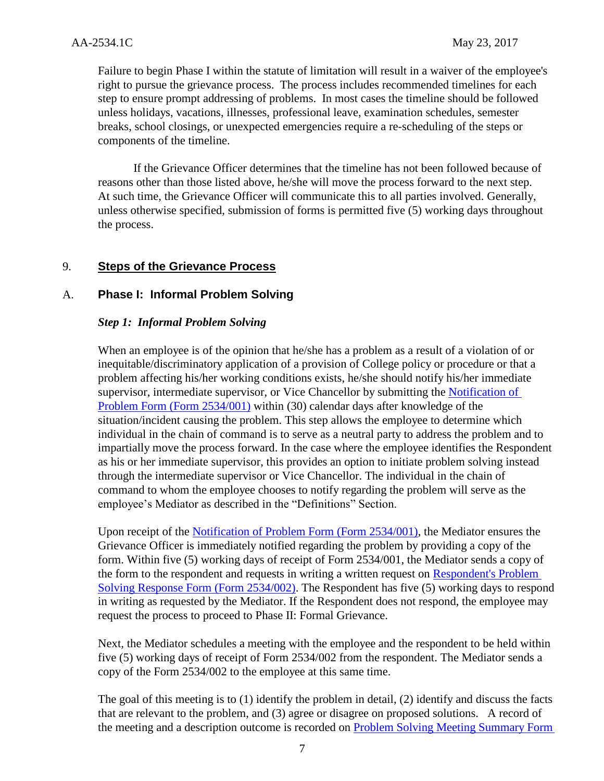Failure to begin Phase I within the statute of limitation will result in a waiver of the employee's right to pursue the grievance process. The process includes recommended timelines for each step to ensure prompt addressing of problems. In most cases the timeline should be followed unless holidays, vacations, illnesses, professional leave, examination schedules, semester breaks, school closings, or unexpected emergencies require a re-scheduling of the steps or components of the timeline.

If the Grievance Officer determines that the timeline has not been followed because of reasons other than those listed above, he/she will move the process forward to the next step. At such time, the Grievance Officer will communicate this to all parties involved. Generally, unless otherwise specified, submission of forms is permitted five (5) working days throughout the process.

## 9. **Steps of the Grievance Process**

## A. **Phase I: Informal Problem Solving**

## *Step 1: Informal Problem Solving*

When an employee is of the opinion that he/she has a problem as a result of a violation of or inequitable/discriminatory application of a provision of College policy or procedure or that a problem affecting his/her working conditions exists, he/she should notify his/her immediate supervisor, intermediate supervisor, or Vice Chancellor by submitting the [Notification of](http://docushare3.dcc.edu/docushare/dsweb/Get/Document-752/)  [Problem Form \(Form 2534/001\)](http://docushare3.dcc.edu/docushare/dsweb/Get/Document-752/) within (30) calendar days after knowledge of the situation/incident causing the problem. This step allows the employee to determine which individual in the chain of command is to serve as a neutral party to address the problem and to impartially move the process forward. In the case where the employee identifies the Respondent as his or her immediate supervisor, this provides an option to initiate problem solving instead through the intermediate supervisor or Vice Chancellor. The individual in the chain of command to whom the employee chooses to notify regarding the problem will serve as the employee's Mediator as described in the "Definitions" Section.

Upon receipt of the [Notification of Problem Form \(Form 2534/001\),](http://docushare3.dcc.edu/docushare/dsweb/Get/Document-752/) the Mediator ensures the Grievance Officer is immediately notified regarding the problem by providing a copy of the form. Within five (5) working days of receipt of Form 2534/001, the Mediator sends a copy of the form to the respondent and requests in writing a written request on [Respondent's Problem](http://docushare3.dcc.edu/docushare/dsweb/Get/Document-6802/)  [Solving Response Form \(Form 2534/002\).](http://docushare3.dcc.edu/docushare/dsweb/Get/Document-6802/) The Respondent has five (5) working days to respond in writing as requested by the Mediator. If the Respondent does not respond, the employee may request the process to proceed to Phase II: Formal Grievance.

Next, the Mediator schedules a meeting with the employee and the respondent to be held within five (5) working days of receipt of Form 2534/002 from the respondent. The Mediator sends a copy of the Form 2534/002 to the employee at this same time.

The goal of this meeting is to (1) identify the problem in detail, (2) identify and discuss the facts that are relevant to the problem, and (3) agree or disagree on proposed solutions. A record of the meeting and a description outcome is recorded on [Problem Solving Meeting Summary Form](http://docushare3.dcc.edu/docushare/dsweb/Get/Document-6803/)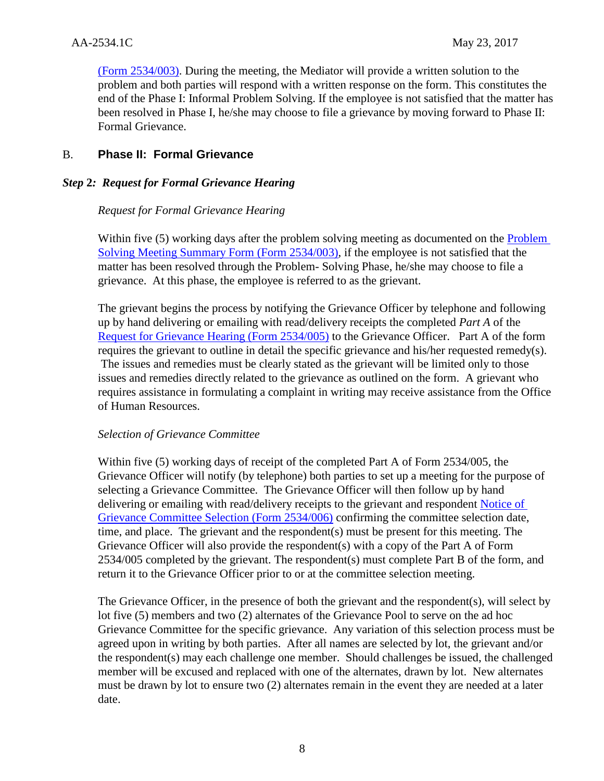[\(Form 2534/003\).](http://docushare3.dcc.edu/docushare/dsweb/Get/Document-6803/) During the meeting, the Mediator will provide a written solution to the problem and both parties will respond with a written response on the form. This constitutes the end of the Phase I: Informal Problem Solving. If the employee is not satisfied that the matter has been resolved in Phase I, he/she may choose to file a grievance by moving forward to Phase II: Formal Grievance.

## B. **Phase II: Formal Grievance**

## *Step* **2***: Request for Formal Grievance Hearing*

## *Request for Formal Grievance Hearing*

Within five (5) working days after the problem solving meeting as documented on the **Problem** [Solving Meeting Summary Form \(Form 2534/003\),](http://docushare3.dcc.edu/docushare/dsweb/Get/Document-6803/) if the employee is not satisfied that the matter has been resolved through the Problem- Solving Phase, he/she may choose to file a grievance. At this phase, the employee is referred to as the grievant.

The grievant begins the process by notifying the Grievance Officer by telephone and following up by hand delivering or emailing with read/delivery receipts the completed *Part A* of the [Request for Grievance Hearing \(Form 2534/005\)](http://docushare3.dcc.edu/docushare/dsweb/Get/Document-6804/) to the Grievance Officer. Part A of the form requires the grievant to outline in detail the specific grievance and his/her requested remedy(s). The issues and remedies must be clearly stated as the grievant will be limited only to those issues and remedies directly related to the grievance as outlined on the form. A grievant who requires assistance in formulating a complaint in writing may receive assistance from the Office of Human Resources.

## *Selection of Grievance Committee*

Within five (5) working days of receipt of the completed Part A of Form 2534/005, the Grievance Officer will notify (by telephone) both parties to set up a meeting for the purpose of selecting a Grievance Committee. The Grievance Officer will then follow up by hand delivering or emailing with read/delivery receipts to the grievant and respondent [Notice of](http://docushare3.dcc.edu/docushare/dsweb/Get/Document-6805/)  [Grievance Committee Selection \(Form 2534/006\)](http://docushare3.dcc.edu/docushare/dsweb/Get/Document-6805/) confirming the committee selection date, time, and place. The grievant and the respondent(s) must be present for this meeting. The Grievance Officer will also provide the respondent(s) with a copy of the Part A of Form 2534/005 completed by the grievant. The respondent(s) must complete Part B of the form, and return it to the Grievance Officer prior to or at the committee selection meeting.

The Grievance Officer, in the presence of both the grievant and the respondent(s), will select by lot five (5) members and two (2) alternates of the Grievance Pool to serve on the ad hoc Grievance Committee for the specific grievance. Any variation of this selection process must be agreed upon in writing by both parties. After all names are selected by lot, the grievant and/or the respondent(s) may each challenge one member. Should challenges be issued, the challenged member will be excused and replaced with one of the alternates, drawn by lot. New alternates must be drawn by lot to ensure two (2) alternates remain in the event they are needed at a later date.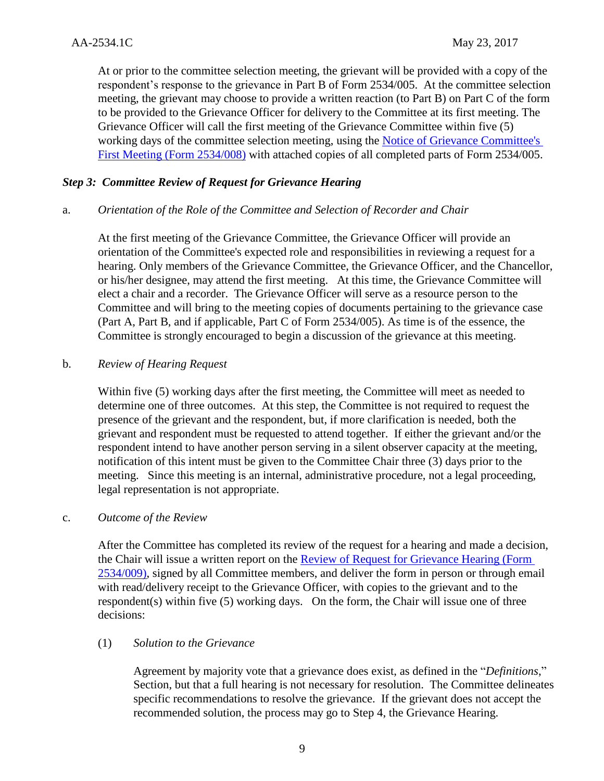At or prior to the committee selection meeting, the grievant will be provided with a copy of the respondent's response to the grievance in Part B of Form 2534/005. At the committee selection meeting, the grievant may choose to provide a written reaction (to Part B) on Part C of the form to be provided to the Grievance Officer for delivery to the Committee at its first meeting. The Grievance Officer will call the first meeting of the Grievance Committee within five (5) working days of the committee selection meeting, using the [Notice of Grievance Committee's](http://docushare3.dcc.edu/docushare/dsweb/Get/Document-6806/)  [First Meeting \(Form 2534/008\)](http://docushare3.dcc.edu/docushare/dsweb/Get/Document-6806/) with attached copies of all completed parts of Form 2534/005.

## *Step 3: Committee Review of Request for Grievance Hearing*

## a. *Orientation of the Role of the Committee and Selection of Recorder and Chair*

At the first meeting of the Grievance Committee, the Grievance Officer will provide an orientation of the Committee's expected role and responsibilities in reviewing a request for a hearing. Only members of the Grievance Committee, the Grievance Officer, and the Chancellor, or his/her designee, may attend the first meeting. At this time, the Grievance Committee will elect a chair and a recorder. The Grievance Officer will serve as a resource person to the Committee and will bring to the meeting copies of documents pertaining to the grievance case (Part A, Part B, and if applicable, Part C of Form 2534/005). As time is of the essence, the Committee is strongly encouraged to begin a discussion of the grievance at this meeting.

#### b. *Review of Hearing Request*

Within five (5) working days after the first meeting, the Committee will meet as needed to determine one of three outcomes. At this step, the Committee is not required to request the presence of the grievant and the respondent, but, if more clarification is needed, both the grievant and respondent must be requested to attend together. If either the grievant and/or the respondent intend to have another person serving in a silent observer capacity at the meeting, notification of this intent must be given to the Committee Chair three (3) days prior to the meeting. Since this meeting is an internal, administrative procedure, not a legal proceeding, legal representation is not appropriate.

## c. *Outcome of the Review*

After the Committee has completed its review of the request for a hearing and made a decision, the Chair will issue a written report on the [Review of Request for Grievance Hearing \(Form](http://docushare3.dcc.edu/docushare/dsweb/Get/Document-6807/)  [2534/009\),](http://docushare3.dcc.edu/docushare/dsweb/Get/Document-6807/) signed by all Committee members, and deliver the form in person or through email with read/delivery receipt to the Grievance Officer, with copies to the grievant and to the respondent(s) within five  $(5)$  working days. On the form, the Chair will issue one of three decisions:

## (1) *Solution to the Grievance*

Agreement by majority vote that a grievance does exist, as defined in the "*Definitions*," Section, but that a full hearing is not necessary for resolution. The Committee delineates specific recommendations to resolve the grievance. If the grievant does not accept the recommended solution, the process may go to Step 4, the Grievance Hearing.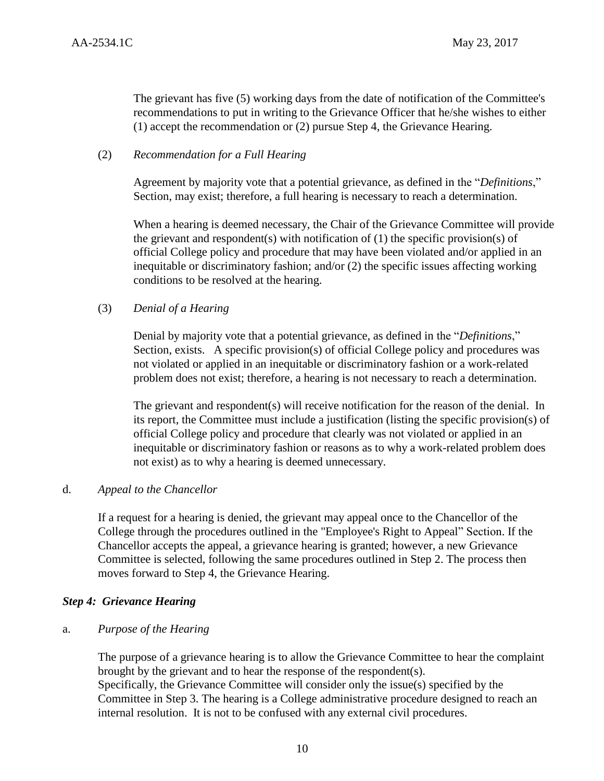The grievant has five (5) working days from the date of notification of the Committee's recommendations to put in writing to the Grievance Officer that he/she wishes to either (1) accept the recommendation or (2) pursue Step 4, the Grievance Hearing.

## (2) *Recommendation for a Full Hearing*

Agreement by majority vote that a potential grievance, as defined in the "*Definitions*," Section, may exist; therefore, a full hearing is necessary to reach a determination.

When a hearing is deemed necessary, the Chair of the Grievance Committee will provide the grievant and respondent(s) with notification of  $(1)$  the specific provision(s) of official College policy and procedure that may have been violated and/or applied in an inequitable or discriminatory fashion; and/or (2) the specific issues affecting working conditions to be resolved at the hearing.

## (3) *Denial of a Hearing*

Denial by majority vote that a potential grievance, as defined in the "*Definitions*," Section, exists. A specific provision(s) of official College policy and procedures was not violated or applied in an inequitable or discriminatory fashion or a work-related problem does not exist; therefore, a hearing is not necessary to reach a determination.

The grievant and respondent(s) will receive notification for the reason of the denial. In its report, the Committee must include a justification (listing the specific provision(s) of official College policy and procedure that clearly was not violated or applied in an inequitable or discriminatory fashion or reasons as to why a work-related problem does not exist) as to why a hearing is deemed unnecessary.

## d. *Appeal to the Chancellor*

If a request for a hearing is denied, the grievant may appeal once to the Chancellor of the College through the procedures outlined in the "Employee's Right to Appeal" Section. If the Chancellor accepts the appeal, a grievance hearing is granted; however, a new Grievance Committee is selected, following the same procedures outlined in Step 2. The process then moves forward to Step 4, the Grievance Hearing.

## *Step 4: Grievance Hearing*

## a. *Purpose of the Hearing*

The purpose of a grievance hearing is to allow the Grievance Committee to hear the complaint brought by the grievant and to hear the response of the respondent(s). Specifically, the Grievance Committee will consider only the issue(s) specified by the Committee in Step 3. The hearing is a College administrative procedure designed to reach an internal resolution. It is not to be confused with any external civil procedures.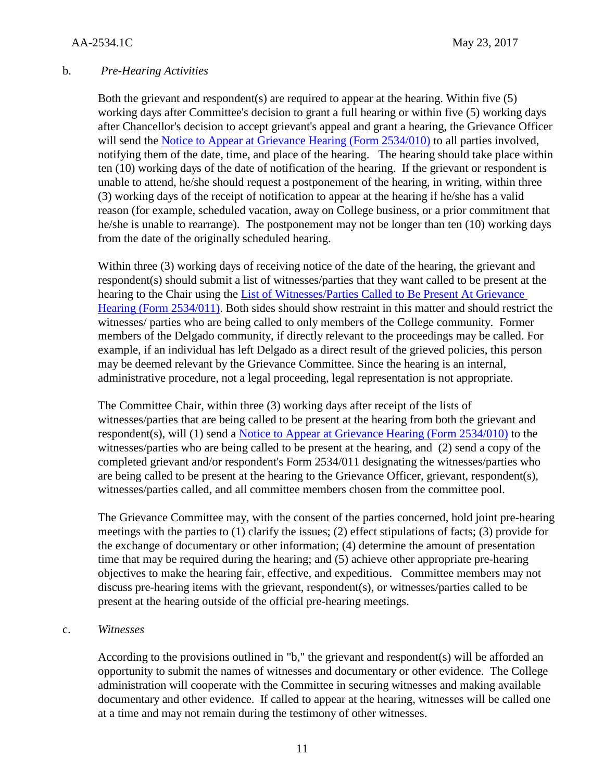## b. *Pre-Hearing Activities*

Both the grievant and respondent(s) are required to appear at the hearing. Within five (5) working days after Committee's decision to grant a full hearing or within five (5) working days after Chancellor's decision to accept grievant's appeal and grant a hearing, the Grievance Officer will send the [Notice to Appear at Grievance Hearing \(Form 2534/010\)](http://docushare3.dcc.edu/docushare/dsweb/Get/Document-6808/) to all parties involved, notifying them of the date, time, and place of the hearing. The hearing should take place within ten (10) working days of the date of notification of the hearing. If the grievant or respondent is unable to attend, he/she should request a postponement of the hearing, in writing, within three (3) working days of the receipt of notification to appear at the hearing if he/she has a valid reason (for example, scheduled vacation, away on College business, or a prior commitment that he/she is unable to rearrange). The postponement may not be longer than ten (10) working days from the date of the originally scheduled hearing.

Within three (3) working days of receiving notice of the date of the hearing, the grievant and respondent(s) should submit a list of witnesses/parties that they want called to be present at the hearing to the Chair using the [List of Witnesses/Parties Called to Be Present At Grievance](http://docushare3.dcc.edu/docushare/dsweb/Get/Document-6809/)  [Hearing \(Form 2534/011\).](http://docushare3.dcc.edu/docushare/dsweb/Get/Document-6809/) Both sides should show restraint in this matter and should restrict the witnesses/ parties who are being called to only members of the College community. Former members of the Delgado community, if directly relevant to the proceedings may be called. For example, if an individual has left Delgado as a direct result of the grieved policies, this person may be deemed relevant by the Grievance Committee. Since the hearing is an internal, administrative procedure, not a legal proceeding, legal representation is not appropriate.

The Committee Chair, within three (3) working days after receipt of the lists of witnesses/parties that are being called to be present at the hearing from both the grievant and respondent(s), will (1) send a [Notice to Appear at Grievance Hearing \(Form 2534/010\)](http://docushare3.dcc.edu/docushare/dsweb/Get/Document-6808/) to the witnesses/parties who are being called to be present at the hearing, and (2) send a copy of the completed grievant and/or respondent's Form 2534/011 designating the witnesses/parties who are being called to be present at the hearing to the Grievance Officer, grievant, respondent(s), witnesses/parties called, and all committee members chosen from the committee pool.

The Grievance Committee may, with the consent of the parties concerned, hold joint pre-hearing meetings with the parties to (1) clarify the issues; (2) effect stipulations of facts; (3) provide for the exchange of documentary or other information; (4) determine the amount of presentation time that may be required during the hearing; and (5) achieve other appropriate pre-hearing objectives to make the hearing fair, effective, and expeditious. Committee members may not discuss pre-hearing items with the grievant, respondent(s), or witnesses/parties called to be present at the hearing outside of the official pre-hearing meetings.

#### c. *Witnesses*

According to the provisions outlined in "b," the grievant and respondent(s) will be afforded an opportunity to submit the names of witnesses and documentary or other evidence. The College administration will cooperate with the Committee in securing witnesses and making available documentary and other evidence. If called to appear at the hearing, witnesses will be called one at a time and may not remain during the testimony of other witnesses.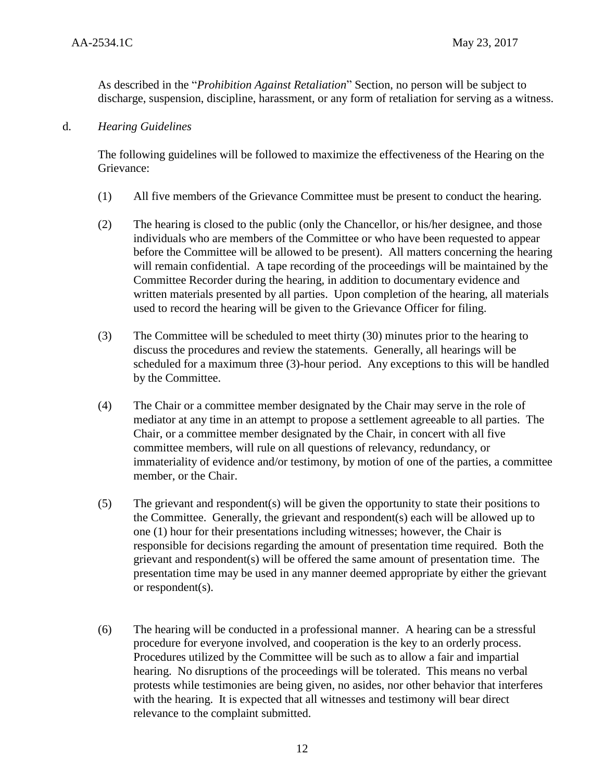As described in the "*Prohibition Against Retaliation*" Section, no person will be subject to discharge, suspension, discipline, harassment, or any form of retaliation for serving as a witness.

d. *Hearing Guidelines*

The following guidelines will be followed to maximize the effectiveness of the Hearing on the Grievance:

- (1) All five members of the Grievance Committee must be present to conduct the hearing.
- (2) The hearing is closed to the public (only the Chancellor, or his/her designee, and those individuals who are members of the Committee or who have been requested to appear before the Committee will be allowed to be present). All matters concerning the hearing will remain confidential. A tape recording of the proceedings will be maintained by the Committee Recorder during the hearing, in addition to documentary evidence and written materials presented by all parties. Upon completion of the hearing, all materials used to record the hearing will be given to the Grievance Officer for filing.
- (3) The Committee will be scheduled to meet thirty (30) minutes prior to the hearing to discuss the procedures and review the statements. Generally, all hearings will be scheduled for a maximum three (3)-hour period. Any exceptions to this will be handled by the Committee.
- (4) The Chair or a committee member designated by the Chair may serve in the role of mediator at any time in an attempt to propose a settlement agreeable to all parties. The Chair, or a committee member designated by the Chair, in concert with all five committee members, will rule on all questions of relevancy, redundancy, or immateriality of evidence and/or testimony, by motion of one of the parties, a committee member, or the Chair.
- (5) The grievant and respondent(s) will be given the opportunity to state their positions to the Committee. Generally, the grievant and respondent(s) each will be allowed up to one (1) hour for their presentations including witnesses; however, the Chair is responsible for decisions regarding the amount of presentation time required. Both the grievant and respondent(s) will be offered the same amount of presentation time. The presentation time may be used in any manner deemed appropriate by either the grievant or respondent(s).
- (6) The hearing will be conducted in a professional manner. A hearing can be a stressful procedure for everyone involved, and cooperation is the key to an orderly process. Procedures utilized by the Committee will be such as to allow a fair and impartial hearing. No disruptions of the proceedings will be tolerated. This means no verbal protests while testimonies are being given, no asides, nor other behavior that interferes with the hearing. It is expected that all witnesses and testimony will bear direct relevance to the complaint submitted.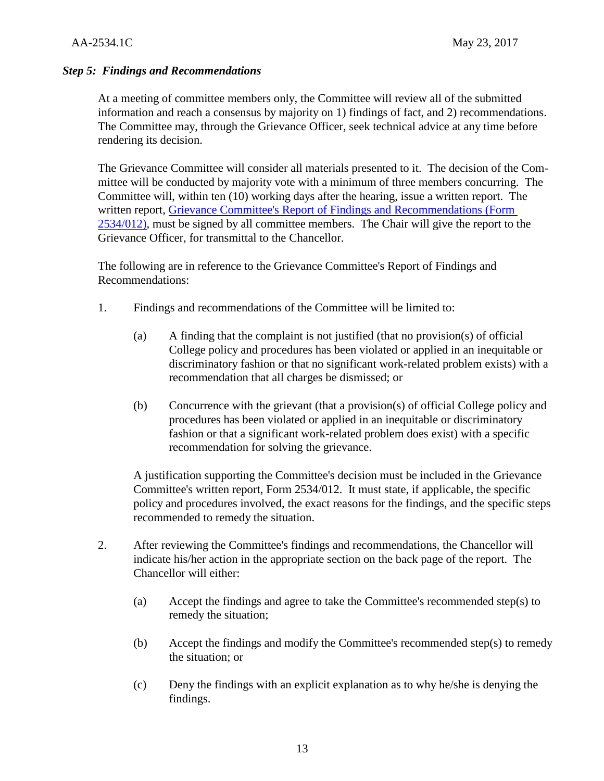## *Step 5: Findings and Recommendations*

At a meeting of committee members only, the Committee will review all of the submitted information and reach a consensus by majority on 1) findings of fact, and 2) recommendations. The Committee may, through the Grievance Officer, seek technical advice at any time before rendering its decision.

The Grievance Committee will consider all materials presented to it. The decision of the Committee will be conducted by majority vote with a minimum of three members concurring. The Committee will, within ten (10) working days after the hearing, issue a written report. The written report, [Grievance Committee's Report of Findings and Recommendations \(Form](http://docushare3.dcc.edu/docushare/dsweb/Get/Document-6810/)  [2534/012\),](http://docushare3.dcc.edu/docushare/dsweb/Get/Document-6810/) must be signed by all committee members. The Chair will give the report to the Grievance Officer, for transmittal to the Chancellor.

The following are in reference to the Grievance Committee's Report of Findings and Recommendations:

- 1. Findings and recommendations of the Committee will be limited to:
	- (a) A finding that the complaint is not justified (that no provision(s) of official College policy and procedures has been violated or applied in an inequitable or discriminatory fashion or that no significant work-related problem exists) with a recommendation that all charges be dismissed; or
	- (b) Concurrence with the grievant (that a provision(s) of official College policy and procedures has been violated or applied in an inequitable or discriminatory fashion or that a significant work-related problem does exist) with a specific recommendation for solving the grievance.

A justification supporting the Committee's decision must be included in the Grievance Committee's written report, Form 2534/012. It must state, if applicable, the specific policy and procedures involved, the exact reasons for the findings, and the specific steps recommended to remedy the situation.

- 2. After reviewing the Committee's findings and recommendations, the Chancellor will indicate his/her action in the appropriate section on the back page of the report. The Chancellor will either:
	- (a) Accept the findings and agree to take the Committee's recommended step(s) to remedy the situation;
	- (b) Accept the findings and modify the Committee's recommended step(s) to remedy the situation; or
	- (c) Deny the findings with an explicit explanation as to why he/she is denying the findings.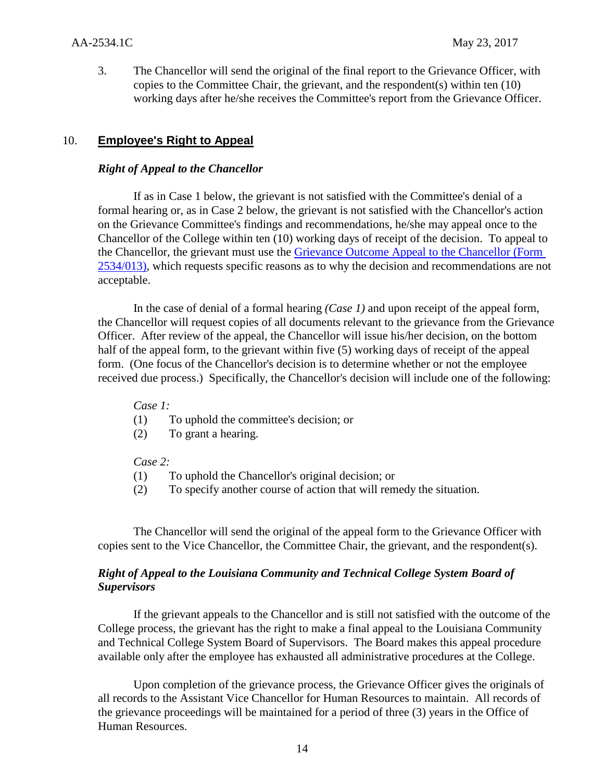3. The Chancellor will send the original of the final report to the Grievance Officer, with copies to the Committee Chair, the grievant, and the respondent(s) within ten (10) working days after he/she receives the Committee's report from the Grievance Officer.

## 10. **Employee's Right to Appeal**

#### *Right of Appeal to the Chancellor*

If as in Case 1 below, the grievant is not satisfied with the Committee's denial of a formal hearing or, as in Case 2 below, the grievant is not satisfied with the Chancellor's action on the Grievance Committee's findings and recommendations, he/she may appeal once to the Chancellor of the College within ten (10) working days of receipt of the decision. To appeal to the Chancellor, the grievant must use the [Grievance Outcome Appeal to the Chancellor \(Form](http://docushare3.dcc.edu/docushare/dsweb/Get/Document-6811/)  [2534/013\),](http://docushare3.dcc.edu/docushare/dsweb/Get/Document-6811/) which requests specific reasons as to why the decision and recommendations are not acceptable.

In the case of denial of a formal hearing *(Case 1)* and upon receipt of the appeal form, the Chancellor will request copies of all documents relevant to the grievance from the Grievance Officer. After review of the appeal, the Chancellor will issue his/her decision, on the bottom half of the appeal form, to the grievant within five (5) working days of receipt of the appeal form. (One focus of the Chancellor's decision is to determine whether or not the employee received due process.) Specifically, the Chancellor's decision will include one of the following:

#### *Case 1:*

- (1) To uphold the committee's decision; or
- (2) To grant a hearing.

#### *Case 2:*

- (1) To uphold the Chancellor's original decision; or
- (2) To specify another course of action that will remedy the situation.

The Chancellor will send the original of the appeal form to the Grievance Officer with copies sent to the Vice Chancellor, the Committee Chair, the grievant, and the respondent(s).

## *Right of Appeal to the Louisiana Community and Technical College System Board of Supervisors*

If the grievant appeals to the Chancellor and is still not satisfied with the outcome of the College process, the grievant has the right to make a final appeal to the Louisiana Community and Technical College System Board of Supervisors. The Board makes this appeal procedure available only after the employee has exhausted all administrative procedures at the College.

Upon completion of the grievance process, the Grievance Officer gives the originals of all records to the Assistant Vice Chancellor for Human Resources to maintain. All records of the grievance proceedings will be maintained for a period of three (3) years in the Office of Human Resources.